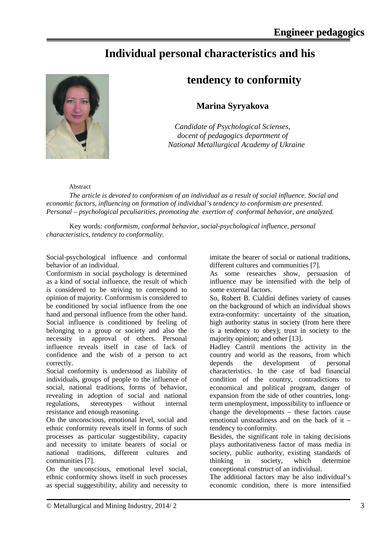## **Individual personal characteristics and his**



## **tendency to conformity**

## **Marina Syryakova**

*Candidate of Psychological Scienses, docent of pedagogics department of National Metallurgical Academy of Ukraine*

Abstract

*The article is devoted to conformism of an individual as a result of social influence. Social and economic factors, influencing on formation of individual's tendency to conformism are presented. Personal – psychological peculiarities, promoting the exertion of conformal behavior, are analyzed.* 

Key words*: conformism, conformal behavior, social-psychological influence, personal characteristics, tendency to conformality.*

Social-psychological influence and conformal behavior of an individual.

Conformism in social psychology is determined as a kind of social influence, the result of which is considered to be striving to correspond to opinion of majority. Conformism is considered to be conditioned by social influence from the one hand and personal influence from the other hand. Social influence is conditioned by feeling of belonging to a group or society and also the necessity in approval of others. Personal influence reveals itself in case of lack of confidence and the wish of a person to act correctly.

Social conformity is understood as liability of individuals, groups of people to the influence of social, national traditions, forms of behavior, revealing in adoption of social and national regulations, stereotypes without internal resistance and enough reasoning.

On the unconscious, emotional level, social and ethnic conformity reveals itself in forms of such processes as particular suggestibility, capacity and necessity to imitate bearers of social or national traditions, different cultures and communities [7].

On the unconscious, emotional level social, ethnic conformity shows itself in such processes as special suggestibility, ability and necessity to imitate the bearer of social or national traditions, different cultures and communities [7].

As some researches show, persuasion of influence may be intensified with the help of some external factors.

So, Robert B. Cialdini defines variety of causes on the background of which an individual shows extra-conformity: uncertainty of the situation, high authority status in society (from here there is a tendency to obey); trust in society to the majority opinion; and other [13].

Hadley Cantril mentions the activity in the country and world as the reasons, from which depends the development of personal characteristics. In the case of bad financial condition of the country, contradictions to economical and political program, danger of expansion from the side of other countries, longterm unemployment, impossibility to influence or change the developments – these factors cause emotional unsteadiness and on the back of it – tendency to conformity.

Besides, the significant role in taking decisions plays authoritativeness factor of mass media in society, public authority, existing standards of thinking in society, which determine conceptional construct of an individual.

The additional factors may be also individual's economic condition, there is more intensified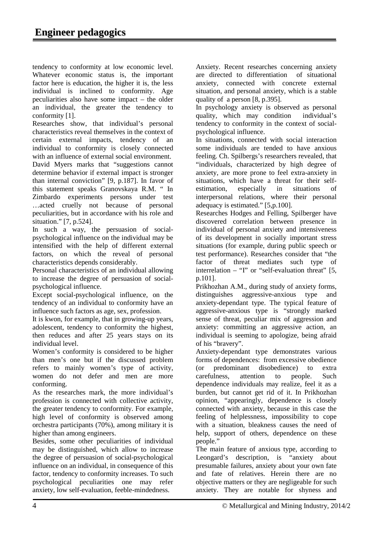tendency to conformity at low economic level. Whatever economic status is, the important factor here is education, the higher it is, the less individual is inclined to conformity. Age peculiarities also have some impact – the older an individual, the greater the tendency to conformity [1].

Researches show, that individual's personal characteristics reveal themselves in the context of certain external impacts, tendency of an individual to conformity is closely connected with an influence of external social environment. David Myers marks that "suggestions cannot determine behavior if external impact is stronger than internal conviction" [9, p.187]. In favor of this statement speaks Granovskaya R.M. " In Zimbardo experiments persons under test …acted cruelly not because of personal peculiarities, but in accordance with his role and situation." [7, p.524].

In such a way, the persuasion of socialpsychological influence on the individual may be intensified with the help of different external factors, on which the reveal of personal characteristics depends considerably.

Personal characteristics of an individual allowing to increase the degree of persuasion of socialpsychological influence.

Except social-psychological influence, on the tendency of an individual to conformity have an influence such factors as age, sex, profession.

It is kwon, for example, that in growing-up years, adolescent, tendency to conformity the highest, then reduces and after 25 years stays on its individual level.

Women's conformity is considered to be higher than men's one but if the discussed problem refers to mainly women's type of activity, women do not defer and men are more conforming.

As the researches mark, the more individual's profession is connected with collective activity, the greater tendency to conformity. For example, high level of conformity is observed among orchestra participants (70%), among military it is higher than among engineers.

Besides, some other peculiarities of individual may be distinguished, which allow to increase the degree of persuasion of social-psychological influence on an individual, in consequence of this factor, tendency to conformity increases. To such psychological peculiarities one may refer anxiety, low self-evaluation, feeble-mindedness.

Anxiety. Recent researches concerning anxiety are directed to differentiation of situational anxiety, connected with concrete external situation, and personal anxiety, which is a stable quality of a person [8, p.395].

In psychology anxiety is observed as personal quality, which may condition individual's tendency to conformity in the context of socialpsychological influence.

In situations, connected with social interaction some individuals are tended to have anxious feeling. Ch. Spilbergs's researchers revealed, that "individuals, characterized by high degree of anxiety, are more prone to feel extra-anxiety in situations, which have a threat for their selfestimation, especially in situations of interpersonal relations, where their personal adequacy is estimated." [5,p.100].

Researches Hodges and Felling, Spilberger have discovered correlation between presence in individual of personal anxiety and intensiveness of its development in socially important stress situations (for example, during public speech or test performance). Researches consider that "the factor of threat mediates such type of interrelation – "I" or "self-evaluation threat"  $[5,$ p.101].

Prikhozhan A.M., during study of anxiety forms, distinguishes aggressive-anxious type and anxiety-dependant type. The typical feature of aggressive-anxious type is "strongly marked sense of threat, peculiar mix of aggression and anxiety: committing an aggressive action, an individual is seeming to apologize, being afraid of his "bravery".

Anxiety-dependant type demonstrates various forms of dependences: from excessive obedience (or predominant disobedience) to extra carefulness, attention to people. Such dependence individuals may realize, feel it as a burden, but cannot get rid of it. In Prikhozhan opinion, "appearingly, dependence is closely connected with anxiety, because in this case the feeling of helplessness, impossibility to cope with a situation, bleakness causes the need of help, support of others, dependence on these people."

The main feature of anxious type, according to Leongard's description, is "anxiety about presumable failures, anxiety about your own fate and fate of relatives. Herein there are no objective matters or they are negligeable for such anxiety. They are notable for shyness and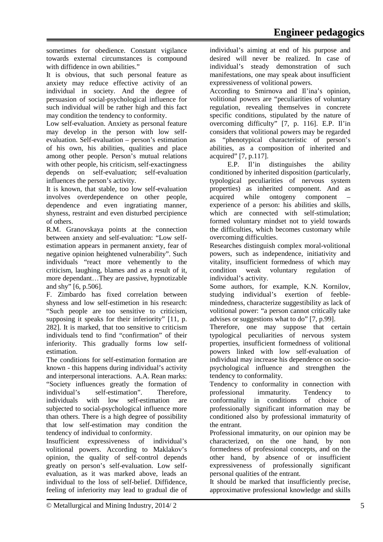sometimes for obedience. Constant vigilance towards external circumstances is compound with diffidence in own abilities."

It is obvious, that such personal feature as anxiety may reduce effective activity of an individual in society. And the degree of persuasion of social-psychological influence for such individual will be rather high and this fact may condition the tendency to conformity.

Low self-evaluation. Anxiety as personal feature may develop in the person with low selfevaluation. Self-evaluation – person's estimation of his own, his abilities, qualities and place among other people. Person's mutual relations with other people, his criticism, self-exactingness depends on self-evaluation; self-evaluation influences the person's activity.

It is known, that stable, too low self-evaluation involves overdependence on other people, dependence and even ingratiating manner, shyness, restraint and even disturbed percipience of others.

R.M. Granovskaya points at the connection between anxiety and self-evaluation: "Low selfestimation appears in permanent anxiety, fear of negative opinion heightened vulnerability". Such individuals "react more vehemently to the criticism, laughing, blames and as a result of it, more dependant…They are passive, hypnotizable and shy" [6, p.506].

F. Zimbardo has fixed correlation between shyness and low self-estimetion in his research: "Such people are too sensitive to criticism, supposing it speaks for their inferiority" [11, p. 282]. It is marked, that too sensitive to criticism individuals tend to find "confirmation" of their inferiority. This gradually forms low selfestimation.

The conditions for self-estimation formation are known - this happens during individual's activity and interpersonal interactions. A.A. Rean marks: "Society influences greatly the formation of individual's self-estimation". Therefore, individuals with low self-estimation are subjected to social-psychological influence more than others. There is a high degree of possibility that low self-estimation may condition the tendency of individual to conformity.

Insufficient expressiveness of individual's volitional powers. According to Maklakov's opinion, the quality of self-control depends greatly on person's self-evaluation. Low selfevaluation, as it was marked above, leads an individual to the loss of self-belief. Diffidence, feeling of inferiority may lead to gradual die of individual's aiming at end of his purpose and desired will never be realized. In case of individual's steady demonstration of such manifestations, one may speak about insufficient expressiveness of volitional powers.

According to Smirnova and Il'ina's opinion, volitional powers are "peculiarities of voluntary regulation, revealing themselves in concrete specific conditions, stipulated by the nature of overcoming difficulty" [7, p. 116]. E.P. Il'in considers that volitional powers may be regarded as "phenotypical characteristic of person's abilities, as a composition of inherited and acquired" [7, p.117].

 E.P. Il'in distinguishes the ability conditioned by inherited disposition (particularly, typological peculiarities of nervous system properties) as inherited component. And as acquired while ontogeny component experience of a person: his abilities and skills, which are connected with self-stimulation; formed voluntary mindset not to yield towards the difficulties, which becomes customary while overcoming difficulties.

Researches distinguish complex moral-volitional powers, such as independence, initiativity and vitality, insufficient formedness of which may condition weak voluntary regulation of individual's activity.

Some authors, for example, K.N. Kornilov, studying individual's exertion of feeblemindedness, characterize suggestibility as lack of volitional power: "a person cannot critically take advises or suggestions what to do" [7, p.99].

Therefore, one may suppose that certain typological peculiarities of nervous system properties, insufficient formedness of volitional powers linked with low self-evaluation of individual may increase his dependence on sociopsychological influence and strengthen the tendency to conformality.

Tendency to conformality in connection with professional immaturity. Tendency to conformality in conditions of choice of professionally significant information may be conditioned also by professional immaturity of the entrant.

Professional immaturity, on our opinion may be characterized, on the one hand, by non formedness of professional concepts, and on the other hand, by absence of or insufficient expressiveness of professionally significant personal qualities of the entrant.

It should be marked that insufficiently precise, approximative professional knowledge and skills